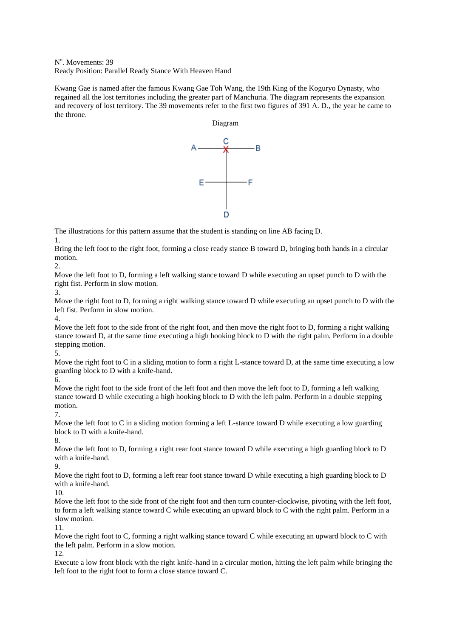N<sup>o</sup>. Movements: 39 Ready Position: Parallel Ready Stance With Heaven Hand

Kwang Gae is named after the famous Kwang Gae Toh Wang, the 19th King of the Koguryo Dynasty, who regained all the lost territories including the greater part of Manchuria. The diagram represents the expansion and recovery of lost territory. The 39 movements refer to the first two figures of 391 A. D., the year he came to the throne.



The illustrations for this pattern assume that the student is standing on line AB facing D. 1.

Bring the left foot to the right foot, forming a close ready stance B toward D, bringing both hands in a circular motion.

 $2^{\circ}$ 

Move the left foot to D, forming a left walking stance toward D while executing an upset punch to D with the right fist. Perform in slow motion.

3.

Move the right foot to D, forming a right walking stance toward D while executing an upset punch to D with the left fist. Perform in slow motion.

4.

Move the left foot to the side front of the right foot, and then move the right foot to D, forming a right walking stance toward D, at the same time executing a high hooking block to D with the right palm. Perform in a double stepping motion.

5. Move the right foot to C in a sliding motion to form a right L-stance toward D, at the same time executing a low guarding block to D with a knife-hand.

6.

Move the right foot to the side front of the left foot and then move the left foot to D, forming a left walking stance toward D while executing a high hooking block to D with the left palm. Perform in a double stepping motion.

7.

Move the left foot to C in a sliding motion forming a left L-stance toward D while executing a low guarding block to D with a knife-hand.

8.

Move the left foot to D, forming a right rear foot stance toward D while executing a high guarding block to D with a knife-hand.

 $\mathbf Q$ 

Move the right foot to D, forming a left rear foot stance toward D while executing a high guarding block to D with a knife-hand.

10.

Move the left foot to the side front of the right foot and then turn counter-clockwise, pivoting with the left foot, to form a left walking stance toward C while executing an upward block to C with the right palm. Perform in a slow motion.

11.

Move the right foot to C, forming a right walking stance toward C while executing an upward block to C with the left palm. Perform in a slow motion.

12.

Execute a low front block with the right knife-hand in a circular motion, hitting the left palm while bringing the left foot to the right foot to form a close stance toward C.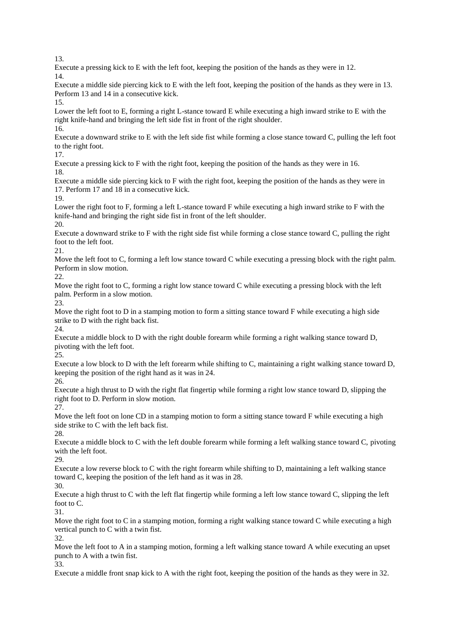13.

Execute a pressing kick to E with the left foot, keeping the position of the hands as they were in 12. 14.

Execute a middle side piercing kick to E with the left foot, keeping the position of the hands as they were in 13. Perform 13 and 14 in a consecutive kick.

15.

Lower the left foot to E, forming a right L-stance toward E while executing a high inward strike to E with the right knife-hand and bringing the left side fist in front of the right shoulder.

16.

Execute a downward strike to E with the left side fist while forming a close stance toward C, pulling the left foot to the right foot.

17.

Execute a pressing kick to F with the right foot, keeping the position of the hands as they were in 16. 18.

Execute a middle side piercing kick to F with the right foot, keeping the position of the hands as they were in 17. Perform 17 and 18 in a consecutive kick.

19.

Lower the right foot to F, forming a left L-stance toward F while executing a high inward strike to F with the knife-hand and bringing the right side fist in front of the left shoulder.

20.

Execute a downward strike to F with the right side fist while forming a close stance toward C, pulling the right foot to the left foot.

21.

Move the left foot to C, forming a left low stance toward C while executing a pressing block with the right palm. Perform in slow motion.

22.

Move the right foot to C, forming a right low stance toward C while executing a pressing block with the left palm. Perform in a slow motion.

23.

Move the right foot to D in a stamping motion to form a sitting stance toward F while executing a high side strike to D with the right back fist.

24.

Execute a middle block to D with the right double forearm while forming a right walking stance toward D, pivoting with the left foot.

25.

Execute a low block to D with the left forearm while shifting to C, maintaining a right walking stance toward D, keeping the position of the right hand as it was in 24.

26.

Execute a high thrust to D with the right flat fingertip while forming a right low stance toward D, slipping the right foot to D. Perform in slow motion.

27.

Move the left foot on lone CD in a stamping motion to form a sitting stance toward F while executing a high side strike to C with the left back fist.

28.

Execute a middle block to C with the left double forearm while forming a left walking stance toward C, pivoting with the left foot.

29.

Execute a low reverse block to C with the right forearm while shifting to D, maintaining a left walking stance toward C, keeping the position of the left hand as it was in 28.

30.

Execute a high thrust to C with the left flat fingertip while forming a left low stance toward C, slipping the left foot to C.

31.

Move the right foot to C in a stamping motion, forming a right walking stance toward C while executing a high vertical punch to C with a twin fist.

32.

Move the left foot to A in a stamping motion, forming a left walking stance toward A while executing an upset punch to A with a twin fist.

33.

Execute a middle front snap kick to A with the right foot, keeping the position of the hands as they were in 32.